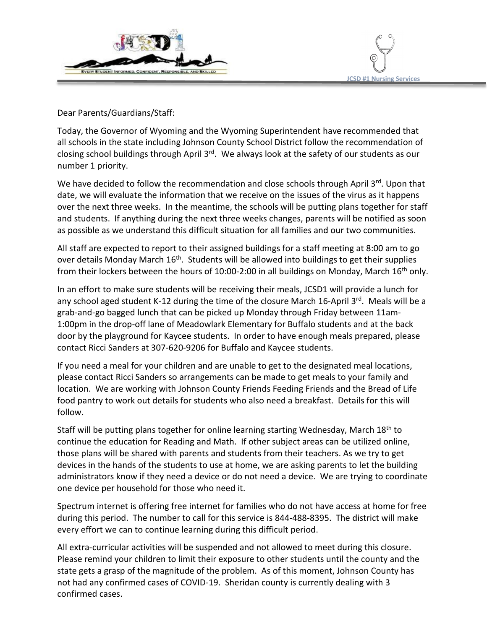



Dear Parents/Guardians/Staff:

Today, the Governor of Wyoming and the Wyoming Superintendent have recommended that all schools in the state including Johnson County School District follow the recommendation of closing school buildings through April 3<sup>rd</sup>. We always look at the safety of our students as our number 1 priority.

We have decided to follow the recommendation and close schools through April 3rd. Upon that date, we will evaluate the information that we receive on the issues of the virus as it happens over the next three weeks. In the meantime, the schools will be putting plans together for staff and students. If anything during the next three weeks changes, parents will be notified as soon as possible as we understand this difficult situation for all families and our two communities.

All staff are expected to report to their assigned buildings for a staff meeting at 8:00 am to go over details Monday March 16<sup>th</sup>. Students will be allowed into buildings to get their supplies from their lockers between the hours of 10:00-2:00 in all buildings on Monday, March  $16<sup>th</sup>$  only.

In an effort to make sure students will be receiving their meals, JCSD1 will provide a lunch for any school aged student K-12 during the time of the closure March 16-April 3rd. Meals will be a grab-and-go bagged lunch that can be picked up Monday through Friday between 11am-1:00pm in the drop-off lane of Meadowlark Elementary for Buffalo students and at the back door by the playground for Kaycee students. In order to have enough meals prepared, please contact Ricci Sanders at 307-620-9206 for Buffalo and Kaycee students.

If you need a meal for your children and are unable to get to the designated meal locations, please contact Ricci Sanders so arrangements can be made to get meals to your family and location. We are working with Johnson County Friends Feeding Friends and the Bread of Life food pantry to work out details for students who also need a breakfast. Details for this will follow.

Staff will be putting plans together for online learning starting Wednesday, March 18th to continue the education for Reading and Math. If other subject areas can be utilized online, those plans will be shared with parents and students from their teachers. As we try to get devices in the hands of the students to use at home, we are asking parents to let the building administrators know if they need a device or do not need a device. We are trying to coordinate one device per household for those who need it.

Spectrum internet is offering free internet for families who do not have access at home for free during this period. The number to call for this service is 844-488-8395. The district will make every effort we can to continue learning during this difficult period.

All extra-curricular activities will be suspended and not allowed to meet during this closure. Please remind your children to limit their exposure to other students until the county and the state gets a grasp of the magnitude of the problem. As of this moment, Johnson County has not had any confirmed cases of COVID-19. Sheridan county is currently dealing with 3 confirmed cases.